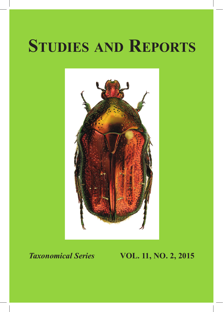# **Studies and Reports**



# *Taxonomical Series* **VOL. 11, NO. 2, 2015**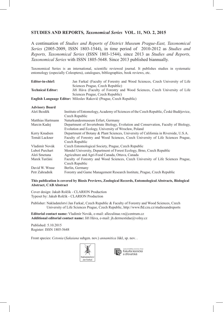### **STUDIES AND REPORTS***, Taxonomical Series* **VOL. 11, NO. 2, 2015**

A continuation of *Studies and Reports of District Museum Prague-East, Taxonomical Series* (2005-2009, ISSN 1803-1544), in time period of 2010-2012 as *Studies and Reports, Taxonomical Series* (ISSN 1803-1544), since 2013 as *Studies and Reports, Taxonomical Series* with ISSN 1805-5648. Since 2013 published biannually.

Taxonomical Series is an international, scientific reviewed journal. It publishes studies in systematic entomology (especially Coleoptera), catalogues, bibliographies, book reviews, etc.

| Editor-in-chief:         | Jan Farkač (Faculty of Forestry and Wood Sciences, Czech University of Life |
|--------------------------|-----------------------------------------------------------------------------|
|                          | Sciences Prague, Czech Republic)                                            |
| <b>Technical Editor:</b> | Jiří Háva (Faculty of Forestry and Wood Sciences, Czech University of Life  |
|                          | Sciences Prague, Czech Republic)                                            |
|                          | English Language Editor: Miloslav Rakovič (Prague, Czech Republic)          |

#### **Advisory Board**

| Aleš Bezděk       | Institute of Entomology, Academy of Sciences of the Czech Republic, České Budějovice, |
|-------------------|---------------------------------------------------------------------------------------|
|                   | Czech Republic                                                                        |
| Matthias Hartmann | Naturkundesmuseum Erfurt, Germany                                                     |
| Marcin Kadej      | Department of Invertebrate Biology, Evolution and Conservation, Faculty of Biology,   |
|                   | Evolution and Ecology, University of Wrocław, Poland                                  |
| Kerry Knudsen     | Department of Botany & Plant Sciences, University of California in Riverside, U.S.A.  |
| Tomáš Lackner     | Faculty of Forestry and Wood Sciences, Czech University of Life Sciences Prague,      |
|                   | Czech Republic                                                                        |
| Vladimír Novák    | Czech Entomological Society, Prague, Czech Republic                                   |
| Luboš Purchart    | Mendel University, Department of Forest Ecology, Brno, Czech Republic                 |
| Aleš Smetana      | Agriculture and Agri-Food Canada, Ottava, Canada                                      |
| Marek Turčáni     | Faculty of Forestry and Wood Sciences, Czech University of Life Sciences Prague,      |
|                   | Czech Republic                                                                        |
| David W. Wrase    | Berlin, Germany                                                                       |
| Petr Zahradník    | Forestry and Game Management Research Institute, Prague, Czech Republic               |

#### **This publication is covered by Biosis Previews, Zoological Records, Entomological Abstracts, Biological Abstract, CAB Abstract**

Cover design: Jakub Rolčík - CLARION Production Typeset by: Jakub Rolčík - CLARION Production

Publisher: Nakladatelství Jan Farkač, Czech Republic & Faculty of Forestry and Wood Sciences, Czech University of Life Sciences Prague, Czech Republic, http://www.fld.czu.cz/studiesandreports

**Editorial contact name:** Vladimír Novák, e-mail: alleculinae.vn@centrum.cz **Additional editorial contact name:** Jiří Háva, e-mail: jh.dermestidae@volny.cz

Published: 5.10.2015 Register: ISSN 1805-5648

Front species: *Cetonia* (*Sakaiana* subgen. nov.) *annamitica* Jákl, sp. nov. .